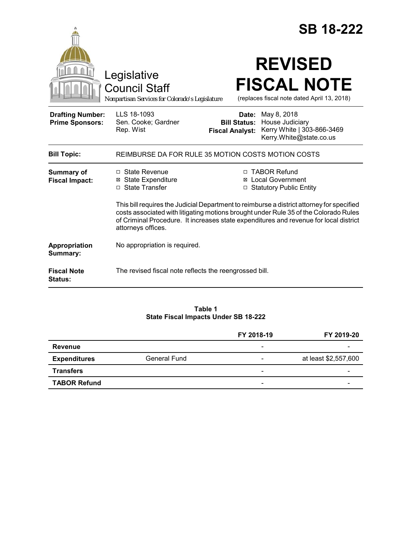|                                                   |                                                                                                                                                                                                                                                                                                  |                                 | <b>SB 18-222</b>                                                                                            |  |
|---------------------------------------------------|--------------------------------------------------------------------------------------------------------------------------------------------------------------------------------------------------------------------------------------------------------------------------------------------------|---------------------------------|-------------------------------------------------------------------------------------------------------------|--|
|                                                   | Legislative<br><b>Council Staff</b><br>Nonpartisan Services for Colorado's Legislature                                                                                                                                                                                                           |                                 | <b>REVISED</b><br><b>FISCAL NOTE</b><br>(replaces fiscal note dated April 13, 2018)                         |  |
| <b>Drafting Number:</b><br><b>Prime Sponsors:</b> | LLS 18-1093<br>Sen. Cooke; Gardner<br>Rep. Wist                                                                                                                                                                                                                                                  | Date:<br><b>Fiscal Analyst:</b> | May 8, 2018<br><b>Bill Status: House Judiciary</b><br>Kerry White   303-866-3469<br>Kerry.White@state.co.us |  |
| <b>Bill Topic:</b>                                | REIMBURSE DA FOR RULE 35 MOTION COSTS MOTION COSTS                                                                                                                                                                                                                                               |                                 |                                                                                                             |  |
| Summary of<br><b>Fiscal Impact:</b>               | $\Box$ State Revenue<br><b>⊠</b> State Expenditure<br>□ State Transfer                                                                                                                                                                                                                           |                                 | □ TABOR Refund<br><b>⊠</b> Local Government<br>□ Statutory Public Entity                                    |  |
|                                                   | This bill requires the Judicial Department to reimburse a district attorney for specified<br>costs associated with litigating motions brought under Rule 35 of the Colorado Rules<br>of Criminal Procedure. It increases state expenditures and revenue for local district<br>attorneys offices. |                                 |                                                                                                             |  |
| Appropriation<br>Summary:                         | No appropriation is required.                                                                                                                                                                                                                                                                    |                                 |                                                                                                             |  |
| <b>Fiscal Note</b><br>Status:                     | The revised fiscal note reflects the reengrossed bill.                                                                                                                                                                                                                                           |                                 |                                                                                                             |  |

**Table 1 State Fiscal Impacts Under SB 18-222**

|                     |                     | FY 2018-19                   | FY 2019-20           |
|---------------------|---------------------|------------------------------|----------------------|
| <b>Revenue</b>      |                     | $\overline{\phantom{a}}$     |                      |
| <b>Expenditures</b> | <b>General Fund</b> | $\overline{\phantom{0}}$     | at least \$2,557,600 |
| <b>Transfers</b>    |                     | $\qquad \qquad \blacksquare$ |                      |
| <b>TABOR Refund</b> |                     | -                            |                      |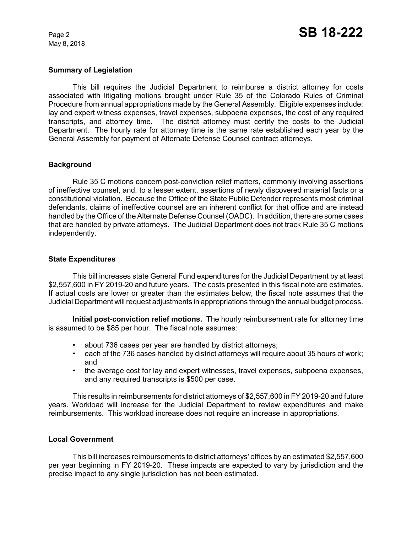May 8, 2018

#### **Summary of Legislation**

This bill requires the Judicial Department to reimburse a district attorney for costs associated with litigating motions brought under Rule 35 of the Colorado Rules of Criminal Procedure from annual appropriations made by the General Assembly. Eligible expenses include: lay and expert witness expenses, travel expenses, subpoena expenses, the cost of any required transcripts, and attorney time. The district attorney must certify the costs to the Judicial Department. The hourly rate for attorney time is the same rate established each year by the General Assembly for payment of Alternate Defense Counsel contract attorneys.

#### **Background**

Rule 35 C motions concern post-conviction relief matters, commonly involving assertions of ineffective counsel, and, to a lesser extent, assertions of newly discovered material facts or a constitutional violation. Because the Office of the State Public Defender represents most criminal defendants, claims of ineffective counsel are an inherent conflict for that office and are instead handled by the Office of the Alternate Defense Counsel (OADC). In addition, there are some cases that are handled by private attorneys. The Judicial Department does not track Rule 35 C motions independently.

#### **State Expenditures**

This bill increases state General Fund expenditures for the Judicial Department by at least \$2,557,600 in FY 2019-20 and future years. The costs presented in this fiscal note are estimates. If actual costs are lower or greater than the estimates below, the fiscal note assumes that the Judicial Department will request adjustments in appropriations through the annual budget process.

**Initial post-conviction relief motions.** The hourly reimbursement rate for attorney time is assumed to be \$85 per hour. The fiscal note assumes:

- about 736 cases per year are handled by district attorneys;
- each of the 736 cases handled by district attorneys will require about 35 hours of work; and
- the average cost for lay and expert witnesses, travel expenses, subpoena expenses, and any required transcripts is \$500 per case.

This results in reimbursements for district attorneys of \$2,557,600 in FY 2019-20 and future years. Workload will increase for the Judicial Department to review expenditures and make reimbursements. This workload increase does not require an increase in appropriations.

#### **Local Government**

This bill increases reimbursements to district attorneys' offices by an estimated \$2,557,600 per year beginning in FY 2019-20. These impacts are expected to vary by jurisdiction and the precise impact to any single jurisdiction has not been estimated.